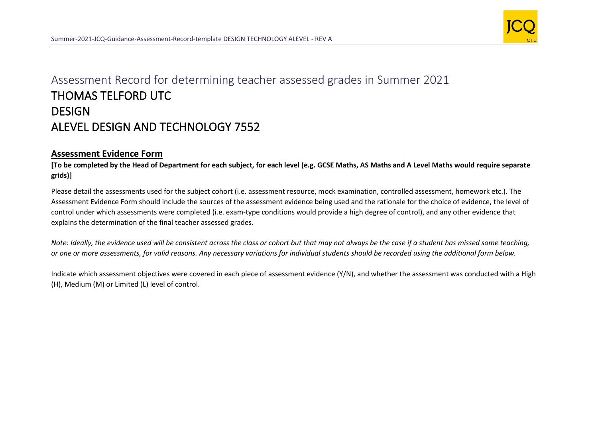

## Assessment Record for determining teacher assessed grades in Summer 2021 THOMAS TELFORD UTC **DESIGN** ALEVEL DESIGN AND TECHNOLOGY 7552

## **Assessment Evidence Form**

**[To be completed by the Head of Department for each subject, for each level (e.g. GCSE Maths, AS Maths and A Level Maths would require separate grids)]**

Please detail the assessments used for the subject cohort (i.e. assessment resource, mock examination, controlled assessment, homework etc.). The Assessment Evidence Form should include the sources of the assessment evidence being used and the rationale for the choice of evidence, the level of control under which assessments were completed (i.e. exam-type conditions would provide a high degree of control), and any other evidence that explains the determination of the final teacher assessed grades.

*Note: Ideally, the evidence used will be consistent across the class or cohort but that may not always be the case if a student has missed some teaching, or one or more assessments, for valid reasons. Any necessary variations for individual students should be recorded using the additional form below.* 

Indicate which assessment objectives were covered in each piece of assessment evidence (Y/N), and whether the assessment was conducted with a High (H), Medium (M) or Limited (L) level of control.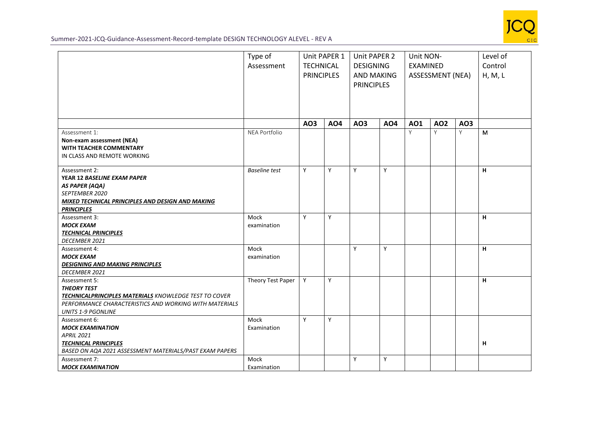

Summer-2021-JCQ-Guidance-Assessment-Record-template DESIGN TECHNOLOGY ALEVEL - REV A

|                                                                                                                                                                                     | Type of<br>Assessment | Unit PAPER 1<br><b>TECHNICAL</b><br><b>PRINCIPLES</b> |            | Unit PAPER 2<br><b>DESIGNING</b><br><b>AND MAKING</b><br><b>PRINCIPLES</b> |            | Unit NON-<br><b>EXAMINED</b><br><b>ASSESSMENT (NEA)</b> |            |     | Level of<br>Control<br>H, M, L |
|-------------------------------------------------------------------------------------------------------------------------------------------------------------------------------------|-----------------------|-------------------------------------------------------|------------|----------------------------------------------------------------------------|------------|---------------------------------------------------------|------------|-----|--------------------------------|
|                                                                                                                                                                                     |                       | AO3                                                   | <b>AO4</b> | A03                                                                        | <b>AO4</b> | <b>AO1</b>                                              | <b>AO2</b> | AO3 |                                |
| Assessment 1:<br>Non-exam assessment (NEA)<br><b>WITH TEACHER COMMENTARY</b><br>IN CLASS AND REMOTE WORKING                                                                         | NEA Portfolio         |                                                       |            |                                                                            |            | Y                                                       | Y          | Y   | M                              |
| Assessment 2:<br>YEAR 12 BASELINE EXAM PAPER<br><b>AS PAPER (AQA)</b><br>SEPTEMBER 2020<br>MIXED TECHNICAL PRINCIPLES AND DESIGN AND MAKING<br><b>PRINCIPLES</b>                    | <b>Baseline</b> test  | Y                                                     | Y          | Y                                                                          | Y          |                                                         |            |     | н                              |
| Assessment 3:<br><b>MOCK EXAM</b><br><b>TECHNICAL PRINCIPLES</b><br><b>DECEMBER 2021</b>                                                                                            | Mock<br>examination   | Y                                                     | Y          |                                                                            |            |                                                         |            |     | H                              |
| Assessment 4:<br><b>MOCK EXAM</b><br><b>DESIGNING AND MAKING PRINCIPLES</b><br>DECEMBER 2021                                                                                        | Mock<br>examination   |                                                       |            | Y                                                                          | Y          |                                                         |            |     | H                              |
| Assessment 5:<br><b>THEORY TEST</b><br>TECHNICALPRINCIPLES MATERIALS KNOWLEDGE TEST TO COVER<br>PERFORMANCE CHARACTERISTICS AND WORKING WITH MATERIALS<br><b>UNITS 1-9 PGONLINE</b> | Theory Test Paper     | Y                                                     | Y          |                                                                            |            |                                                         |            |     | H                              |
| Assessment 6:<br><b>MOCK EXAMINATION</b><br><b>APRIL 2021</b><br><b>TECHNICAL PRINCIPLES</b><br>BASED ON AQA 2021 ASSESSMENT MATERIALS/PAST EXAM PAPERS                             | Mock<br>Examination   | Y                                                     | Y          |                                                                            |            |                                                         |            |     | н                              |
| Assessment 7:<br><b>MOCK EXAMINATION</b>                                                                                                                                            | Mock<br>Examination   |                                                       |            | Y                                                                          | Y          |                                                         |            |     |                                |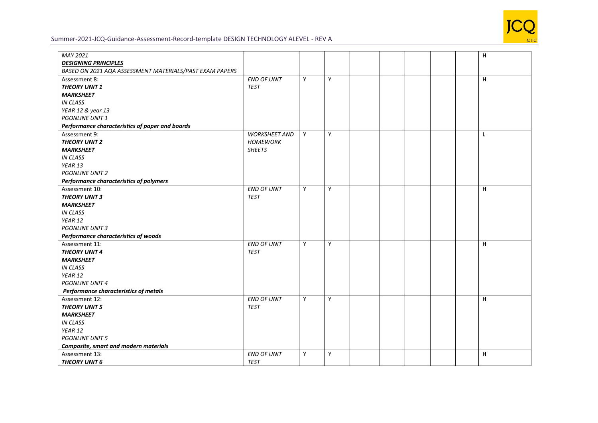

## Summer-2021-JCQ-Guidance-Assessment-Record-template DESIGN TECHNOLOGY ALEVEL - REV A

| MAY 2021                                                |                      |   |   |  |  | н  |
|---------------------------------------------------------|----------------------|---|---|--|--|----|
| <b>DESIGNING PRINCIPLES</b>                             |                      |   |   |  |  |    |
| BASED ON 2021 AQA ASSESSMENT MATERIALS/PAST EXAM PAPERS |                      |   |   |  |  |    |
| Assessment 8:                                           | <b>END OF UNIT</b>   | Y | Y |  |  | H. |
| <b>THEORY UNIT 1</b>                                    | <b>TEST</b>          |   |   |  |  |    |
| <b>MARKSHEET</b>                                        |                      |   |   |  |  |    |
| <b>IN CLASS</b>                                         |                      |   |   |  |  |    |
| YEAR 12 & year 13                                       |                      |   |   |  |  |    |
| <b>PGONLINE UNIT 1</b>                                  |                      |   |   |  |  |    |
| Performance characteristics of paper and boards         |                      |   |   |  |  |    |
| Assessment 9:                                           | <b>WORKSHEET AND</b> | Y | Y |  |  | Г  |
| <b>THEORY UNIT 2</b>                                    | <b>HOMEWORK</b>      |   |   |  |  |    |
| <b>MARKSHEET</b>                                        | <b>SHEETS</b>        |   |   |  |  |    |
| <b>IN CLASS</b>                                         |                      |   |   |  |  |    |
| YEAR 13                                                 |                      |   |   |  |  |    |
| <b>PGONLINE UNIT 2</b>                                  |                      |   |   |  |  |    |
| Performance characteristics of polymers                 |                      |   |   |  |  |    |
| Assessment 10:                                          | <b>END OF UNIT</b>   | Y | Y |  |  | н  |
| <b>THEORY UNIT 3</b>                                    | <b>TEST</b>          |   |   |  |  |    |
| <b>MARKSHEET</b>                                        |                      |   |   |  |  |    |
| <b>IN CLASS</b>                                         |                      |   |   |  |  |    |
| YEAR 12                                                 |                      |   |   |  |  |    |
| <b>PGONLINE UNIT 3</b>                                  |                      |   |   |  |  |    |
| Performance characteristics of woods                    |                      |   |   |  |  |    |
| Assessment 11:                                          | <b>END OF UNIT</b>   | Y | Y |  |  | н  |
| <b>THEORY UNIT 4</b>                                    | <b>TEST</b>          |   |   |  |  |    |
| <b>MARKSHEET</b>                                        |                      |   |   |  |  |    |
| <b>IN CLASS</b>                                         |                      |   |   |  |  |    |
| YEAR 12                                                 |                      |   |   |  |  |    |
| <b>PGONLINE UNIT 4</b>                                  |                      |   |   |  |  |    |
| Performance characteristics of metals                   |                      |   |   |  |  |    |
| Assessment 12:                                          | <b>END OF UNIT</b>   | Y | Y |  |  | H. |
| <b>THEORY UNIT 5</b>                                    | <b>TEST</b>          |   |   |  |  |    |
| <b>MARKSHEET</b>                                        |                      |   |   |  |  |    |
| <b>IN CLASS</b>                                         |                      |   |   |  |  |    |
| YEAR 12                                                 |                      |   |   |  |  |    |
| <b>PGONLINE UNIT 5</b>                                  |                      |   |   |  |  |    |
| Composite, smart and modern materials                   |                      |   |   |  |  |    |
| Assessment 13:                                          | <b>END OF UNIT</b>   | Y | Υ |  |  | н  |
| <b>THEORY UNIT 6</b>                                    | <b>TEST</b>          |   |   |  |  |    |